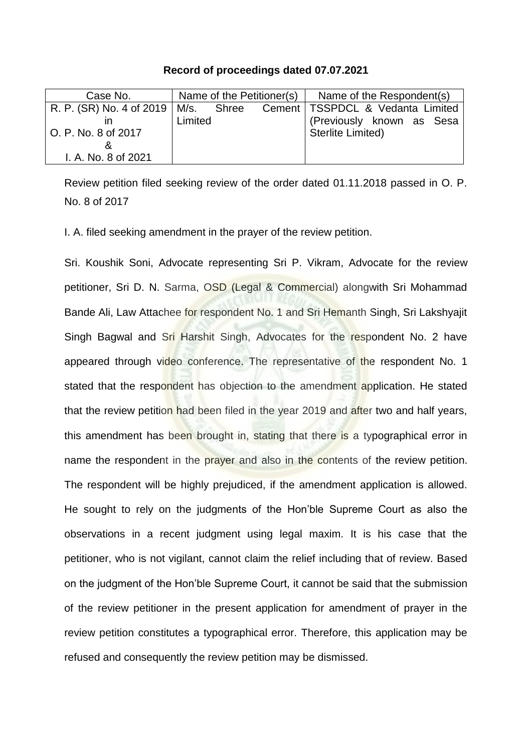## **Record of proceedings dated 07.07.2021**

| Case No.                              | Name of the Petitioner(s) |  |  | Name of the Respondent(s)          |
|---------------------------------------|---------------------------|--|--|------------------------------------|
| R. P. (SR) No. 4 of 2019   M/s. Shree |                           |  |  | Cement   TSSPDCL & Vedanta Limited |
|                                       | Limited                   |  |  | (Previously known as Sesa          |
| O. P. No. 8 of 2017                   |                           |  |  | Sterlite Limited)                  |
|                                       |                           |  |  |                                    |
| I. A. No. 8 of 2021                   |                           |  |  |                                    |

Review petition filed seeking review of the order dated 01.11.2018 passed in O. P. No. 8 of 2017

I. A. filed seeking amendment in the prayer of the review petition.

Sri. Koushik Soni, Advocate representing Sri P. Vikram, Advocate for the review petitioner, Sri D. N. Sarma, OSD (Legal & Commercial) alongwith Sri Mohammad Bande Ali, Law Attachee for respondent No. 1 and Sri Hemanth Singh, Sri Lakshyajit Singh Bagwal and Sri Harshit Singh, Advocates for the respondent No. 2 have appeared through video conference. The representative of the respondent No. 1 stated that the respondent has objection to the amendment application. He stated that the review petition had been filed in the year 2019 and after two and half years, this amendment has been brought in, stating that there is a typographical error in name the respondent in the prayer and also in the contents of the review petition. The respondent will be highly prejudiced, if the amendment application is allowed. He sought to rely on the judgments of the Hon'ble Supreme Court as also the observations in a recent judgment using legal maxim. It is his case that the petitioner, who is not vigilant, cannot claim the relief including that of review. Based on the judgment of the Hon'ble Supreme Court, it cannot be said that the submission of the review petitioner in the present application for amendment of prayer in the review petition constitutes a typographical error. Therefore, this application may be refused and consequently the review petition may be dismissed.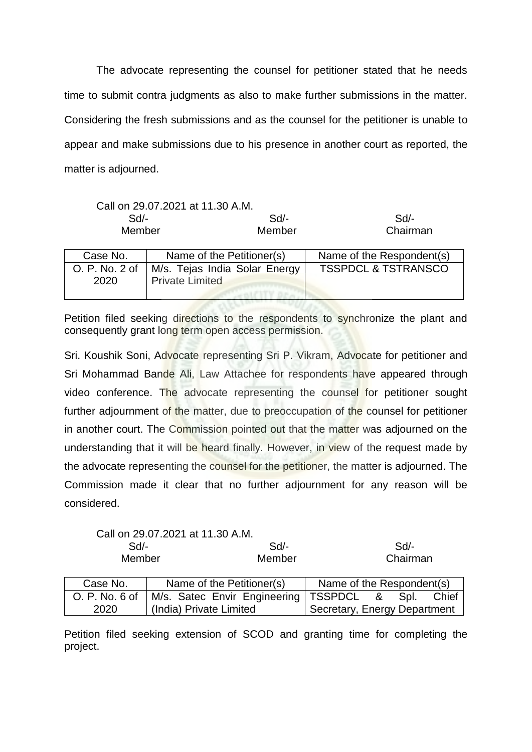The advocate representing the counsel for petitioner stated that he needs time to submit contra judgments as also to make further submissions in the matter. Considering the fresh submissions and as the counsel for the petitioner is unable to appear and make submissions due to his presence in another court as reported, the matter is adjourned.

|                | Call on 29.07.2021 at 11.30 A.M. |                                |
|----------------|----------------------------------|--------------------------------|
| Sd             | Sd                               | Sd                             |
| Member         | Member                           | Chairman                       |
|                |                                  |                                |
| Case No.       | Name of the Petitioner(s)        | Name of the Respondent(s)      |
| O. P. No. 2 of | M/s. Tejas India Solar Energy    | <b>TSSPDCL &amp; TSTRANSCO</b> |
| 2020           | <b>Private Limited</b>           |                                |

Petition filed seeking directions to the respondents to synchronize the plant and consequently grant long term open access permission.

ALCITY OF

Sri. Koushik Soni, Advocate representing Sri P. Vikram, Advocate for petitioner and Sri Mohammad Bande Ali, Law Attachee for respondents have appeared through video conference. The advocate representing the counsel for petitioner sought further adjournment of the matter, due to preoccupation of the counsel for petitioner in another court. The Commission pointed out that the matter was adjourned on the understanding that it will be heard finally. However, in view of the request made by the advocate representing the counsel for the petitioner, the matter is adjourned. The Commission made it clear that no further adjournment for any reason will be considered.

Call on 29.07.2021 at 11.30 A.M.

| Sd/-   | Sd/-   | Sd/-     |
|--------|--------|----------|
| Member | Member | Chairman |
|        |        |          |

| Case No.       | Name of the Petitioner(s)              | Name of the Respondent(s)    |
|----------------|----------------------------------------|------------------------------|
| O. P. No. 6 of | M/s. Satec Envir Engineering   TSSPDCL | & Spl.<br>Chief              |
| 2020           | (India) Private Limited                | Secretary, Energy Department |

Petition filed seeking extension of SCOD and granting time for completing the project.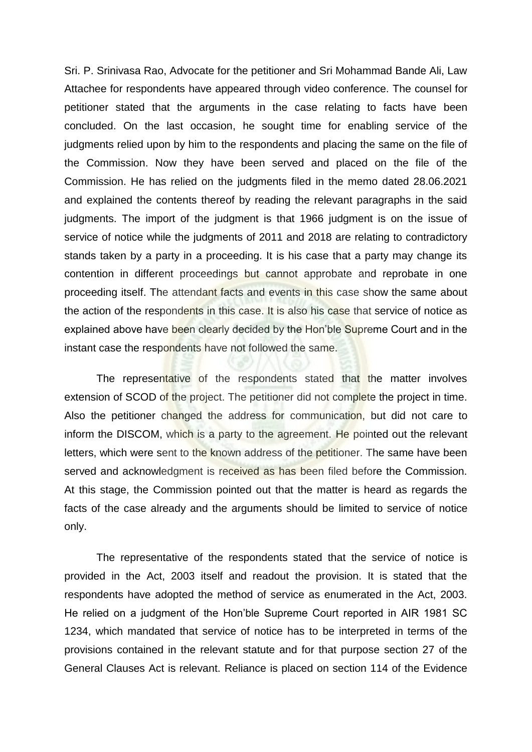Sri. P. Srinivasa Rao, Advocate for the petitioner and Sri Mohammad Bande Ali, Law Attachee for respondents have appeared through video conference. The counsel for petitioner stated that the arguments in the case relating to facts have been concluded. On the last occasion, he sought time for enabling service of the judgments relied upon by him to the respondents and placing the same on the file of the Commission. Now they have been served and placed on the file of the Commission. He has relied on the judgments filed in the memo dated 28.06.2021 and explained the contents thereof by reading the relevant paragraphs in the said judgments. The import of the judgment is that 1966 judgment is on the issue of service of notice while the judgments of 2011 and 2018 are relating to contradictory stands taken by a party in a proceeding. It is his case that a party may change its contention in different proceedings but cannot approbate and reprobate in one proceeding itself. The attendant facts and events in this case show the same about the action of the respondents in this case. It is also his case that service of notice as explained above have been clearly decided by the Hon'ble Supreme Court and in the instant case the respondents have not followed the same.

The representative of the respondents stated that the matter involves extension of SCOD of the project. The petitioner did not complete the project in time. Also the petitioner changed the address for communication, but did not care to inform the DISCOM, which is a party to the agreement. He pointed out the relevant letters, which were sent to the known address of the petitioner. The same have been served and acknowledgment is received as has been filed before the Commission. At this stage, the Commission pointed out that the matter is heard as regards the facts of the case already and the arguments should be limited to service of notice only.

The representative of the respondents stated that the service of notice is provided in the Act, 2003 itself and readout the provision. It is stated that the respondents have adopted the method of service as enumerated in the Act, 2003. He relied on a judgment of the Hon'ble Supreme Court reported in AIR 1981 SC 1234, which mandated that service of notice has to be interpreted in terms of the provisions contained in the relevant statute and for that purpose section 27 of the General Clauses Act is relevant. Reliance is placed on section 114 of the Evidence